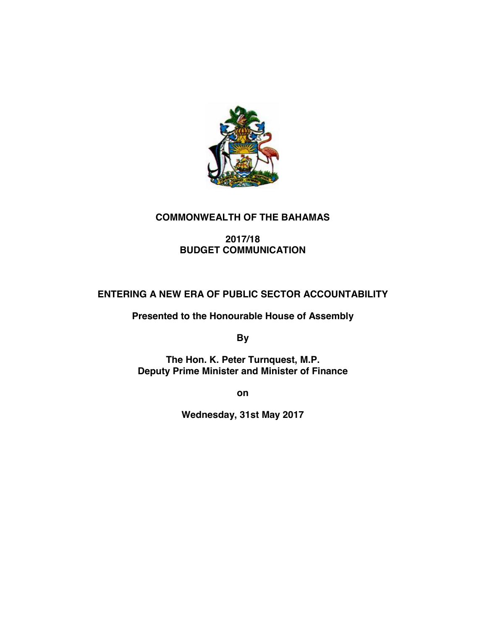

#### **COMMONWEALTH OF THE BAHAMAS**

#### **2017/18 BUDGET COMMUNICATION**

#### **ENTERING A NEW ERA OF PUBLIC SECTOR ACCOUNTABILITY**

**Presented to the Honourable House of Assembly**

**By**

**The Hon. K. Peter Turnquest, M.P. Deputy Prime Minister and Minister of Finance**

**on**

**Wednesday, 31st May 2017**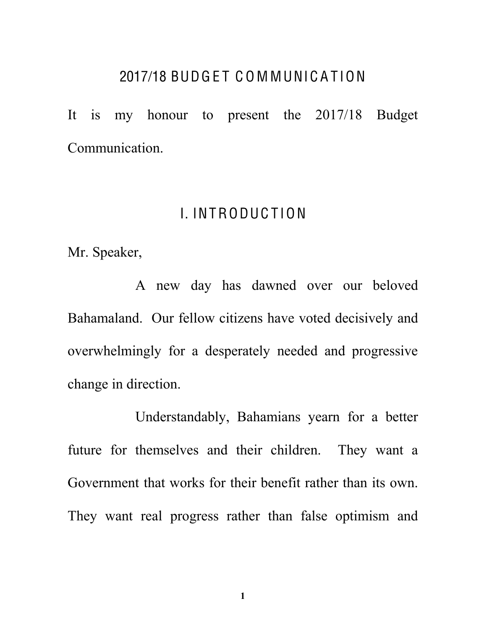#### 2017/18 BUDGET COMMUNICATION

It is my honour to present the 2017/18 Budget Communication.

#### I. INTRODUCTION

Mr. Speaker,

A new day has dawned over our beloved Bahamaland. Our fellow citizens have voted decisively and overwhelmingly for a desperately needed and progressive change in direction.

Understandably, Bahamians yearn for a better future for themselves and their children. They want a Government that works for their benefit rather than its own. They want real progress rather than false optimism and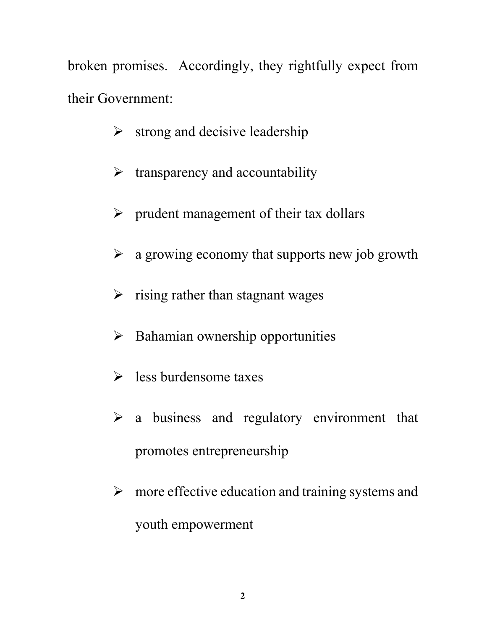broken promises. Accordingly, they rightfully expect from their Government:

- $\triangleright$  strong and decisive leadership
- $\triangleright$  transparency and accountability
- $\triangleright$  prudent management of their tax dollars
- $\triangleright$  a growing economy that supports new job growth
- $\triangleright$  rising rather than stagnant wages
- $\triangleright$  Bahamian ownership opportunities
- $\triangleright$  less burdensome taxes
- $\triangleright$  a business and regulatory environment that promotes entrepreneurship
- $\triangleright$  more effective education and training systems and youth empowerment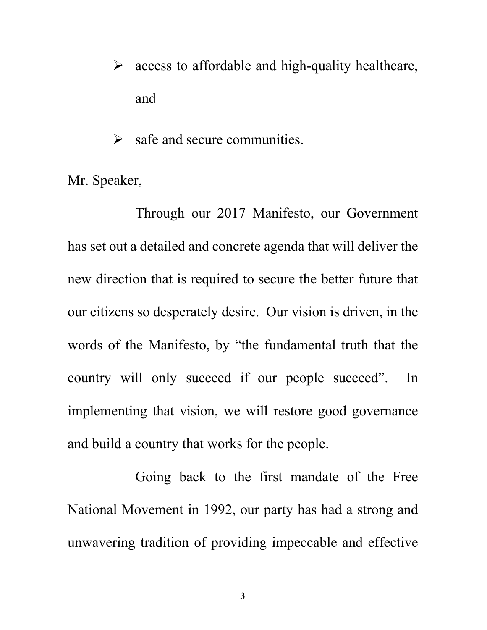$\triangleright$  access to affordable and high-quality healthcare, and

 $\triangleright$  safe and secure communities.

Mr. Speaker,

Through our 2017 Manifesto, our Government has set out a detailed and concrete agenda that will deliver the new direction that is required to secure the better future that our citizens so desperately desire. Our vision is driven, in the words of the Manifesto, by "the fundamental truth that the country will only succeed if our people succeed". In implementing that vision, we will restore good governance and build a country that works for the people.

Going back to the first mandate of the Free National Movement in 1992, our party has had a strong and unwavering tradition of providing impeccable and effective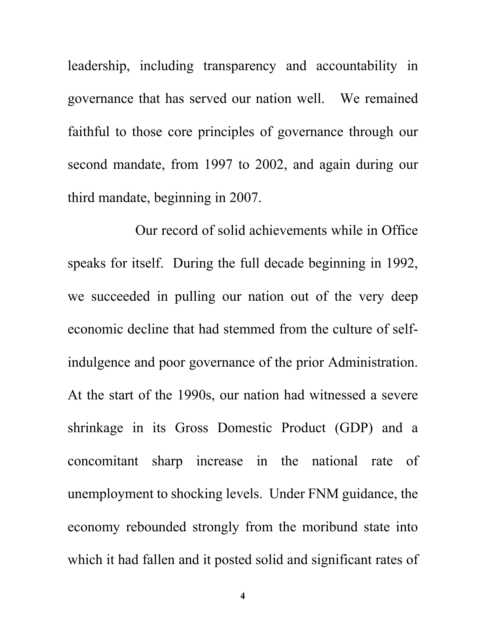leadership, including transparency and accountability in governance that has served our nation well. We remained faithful to those core principles of governance through our second mandate, from 1997 to 2002, and again during our third mandate, beginning in 2007.

Our record of solid achievements while in Office speaks for itself. During the full decade beginning in 1992, we succeeded in pulling our nation out of the very deep economic decline that had stemmed from the culture of selfindulgence and poor governance of the prior Administration. At the start of the 1990s, our nation had witnessed a severe shrinkage in its Gross Domestic Product (GDP) and a concomitant sharp increase in the national rate of unemployment to shocking levels. Under FNM guidance, the economy rebounded strongly from the moribund state into which it had fallen and it posted solid and significant rates of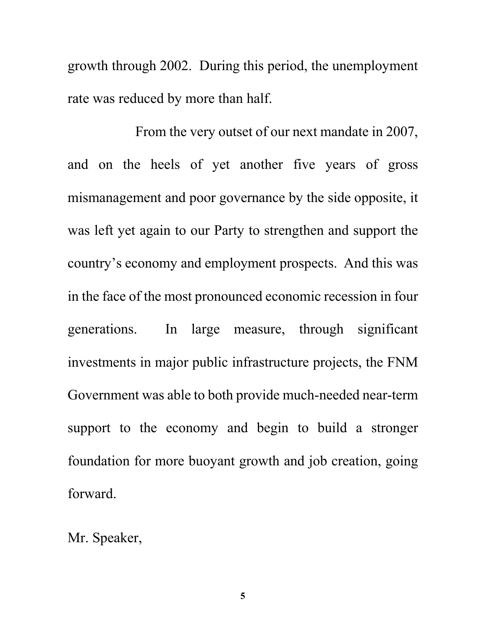growth through 2002. During this period, the unemployment rate was reduced by more than half.

From the very outset of our next mandate in 2007, and on the heels of yet another five years of gross mismanagement and poor governance by the side opposite, it was left yet again to our Party to strengthen and support the country's economy and employment prospects. And this was in the face of the most pronounced economic recession in four generations. In large measure, through significant investments in major public infrastructure projects, the FNM Government was able to both provide much-needed near-term support to the economy and begin to build a stronger foundation for more buoyant growth and job creation, going forward.

Mr. Speaker,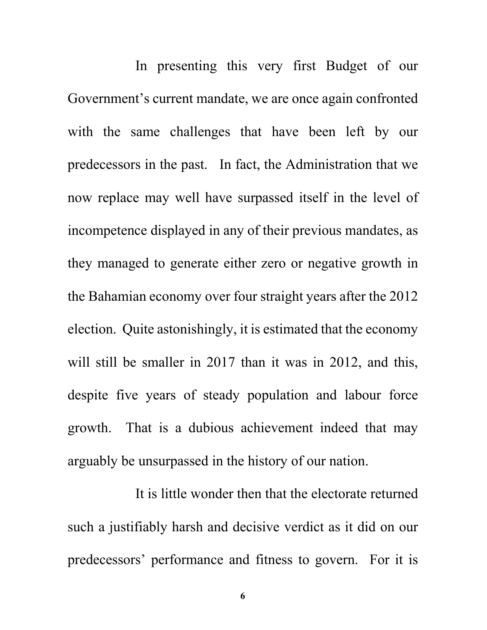In presenting this very first Budget of our Government's current mandate, we are once again confronted with the same challenges that have been left by our predecessors in the past. In fact, the Administration that we now replace may well have surpassed itself in the level of incompetence displayed in any of their previous mandates, as they managed to generate either zero or negative growth in the Bahamian economy over four straight years after the 2012 election. Quite astonishingly, it is estimated that the economy will still be smaller in 2017 than it was in 2012, and this, despite five years of steady population and labour force growth. That is a dubious achievement indeed that may arguably be unsurpassed in the history of our nation.

It is little wonder then that the electorate returned such a justifiably harsh and decisive verdict as it did on our predecessors' performance and fitness to govern. For it is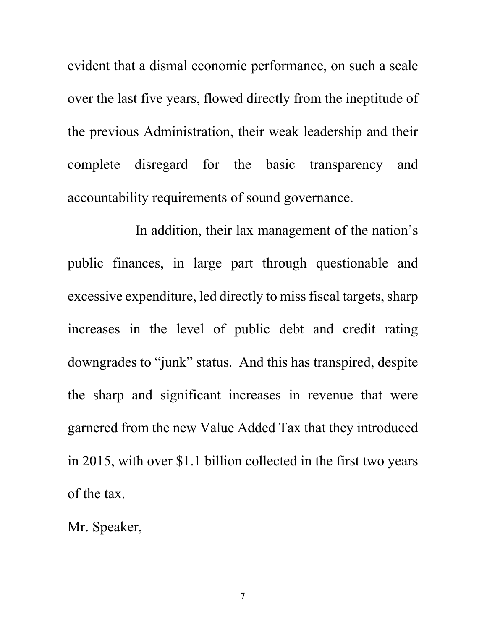evident that a dismal economic performance, on such a scale over the last five years, flowed directly from the ineptitude of the previous Administration, their weak leadership and their complete disregard for the basic transparency and accountability requirements of sound governance.

In addition, their lax management of the nation's public finances, in large part through questionable and excessive expenditure, led directly to miss fiscal targets, sharp increases in the level of public debt and credit rating downgrades to "junk" status. And this has transpired, despite the sharp and significant increases in revenue that were garnered from the new Value Added Tax that they introduced in 2015, with over \$1.1 billion collected in the first two years of the tax.

Mr. Speaker,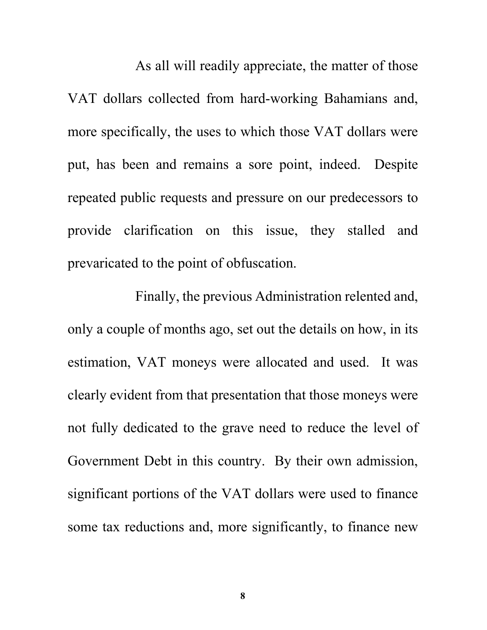As all will readily appreciate, the matter of those VAT dollars collected from hard-working Bahamians and, more specifically, the uses to which those VAT dollars were put, has been and remains a sore point, indeed. Despite repeated public requests and pressure on our predecessors to provide clarification on this issue, they stalled and prevaricated to the point of obfuscation.

Finally, the previous Administration relented and, only a couple of months ago, set out the details on how, in its estimation, VAT moneys were allocated and used. It was clearly evident from that presentation that those moneys were not fully dedicated to the grave need to reduce the level of Government Debt in this country. By their own admission, significant portions of the VAT dollars were used to finance some tax reductions and, more significantly, to finance new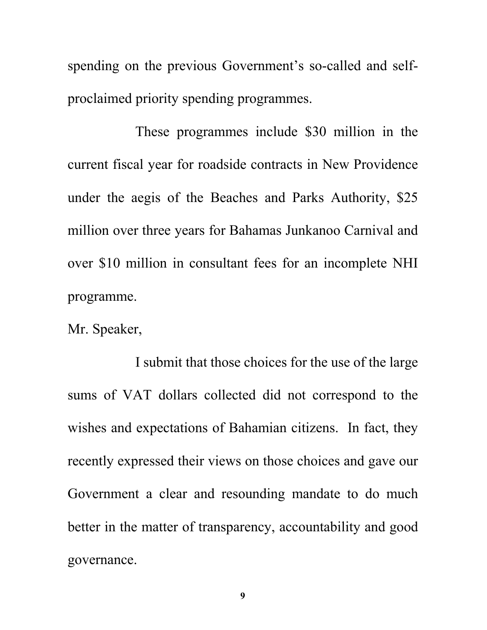spending on the previous Government's so-called and selfproclaimed priority spending programmes.

These programmes include \$30 million in the current fiscal year for roadside contracts in New Providence under the aegis of the Beaches and Parks Authority, \$25 million over three years for Bahamas Junkanoo Carnival and over \$10 million in consultant fees for an incomplete NHI programme.

Mr. Speaker,

I submit that those choices for the use of the large sums of VAT dollars collected did not correspond to the wishes and expectations of Bahamian citizens. In fact, they recently expressed their views on those choices and gave our Government a clear and resounding mandate to do much better in the matter of transparency, accountability and good governance.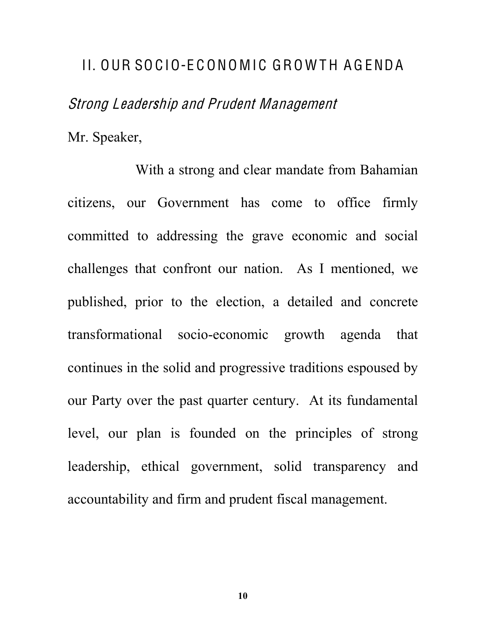# II. OUR SOCIO-E CONOMIC GROWTH A GENDA Strong Leader<sup>s</sup>hip and Prudent Manag<sup>e</sup>ment

Mr. Speaker,

With a strong and clear mandate from Bahamian citizens, our Government has come to office firmly committed to addressing the grave economic and social challenges that confront our nation. As I mentioned, we published, prior to the election, a detailed and concrete transformational socio-economic growth agenda that continues in the solid and progressive traditions espoused by our Party over the past quarter century. At its fundamental level, our plan is founded on the principles of strong leadership, ethical government, solid transparency and accountability and firm and prudent fiscal management.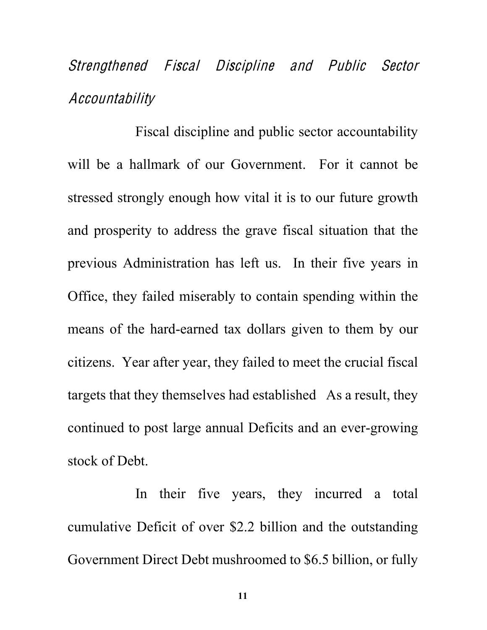Strengthened Fiscal Discipline and Public Sector **Accountability** 

Fiscal discipline and public sector accountability will be a hallmark of our Government. For it cannot be stressed strongly enough how vital it is to our future growth and prosperity to address the grave fiscal situation that the previous Administration has left us. In their five years in Office, they failed miserably to contain spending within the means of the hard-earned tax dollars given to them by our citizens. Year after year, they failed to meet the crucial fiscal targets that they themselves had established As a result, they continued to post large annual Deficits and an ever-growing stock of Debt.

In their five years, they incurred a total cumulative Deficit of over \$2.2 billion and the outstanding Government Direct Debt mushroomed to \$6.5 billion, or fully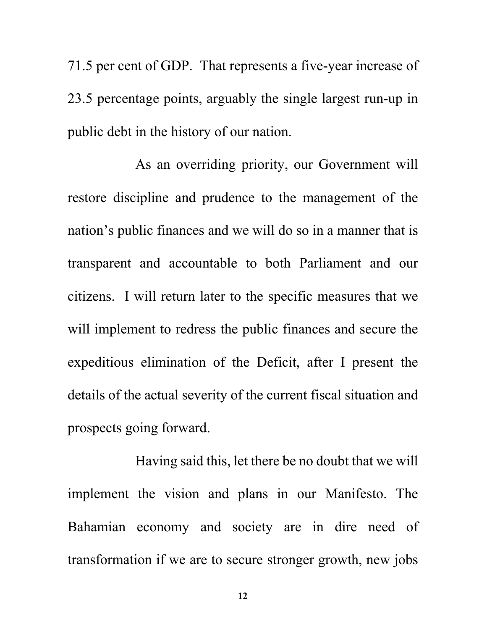71.5 per cent of GDP. That represents a five-year increase of 23.5 percentage points, arguably the single largest run-up in public debt in the history of our nation.

As an overriding priority, our Government will restore discipline and prudence to the management of the nation's public finances and we will do so in a manner that is transparent and accountable to both Parliament and our citizens. I will return later to the specific measures that we will implement to redress the public finances and secure the expeditious elimination of the Deficit, after I present the details of the actual severity of the current fiscal situation and prospects going forward.

Having said this, let there be no doubt that we will implement the vision and plans in our Manifesto. The Bahamian economy and society are in dire need of transformation if we are to secure stronger growth, new jobs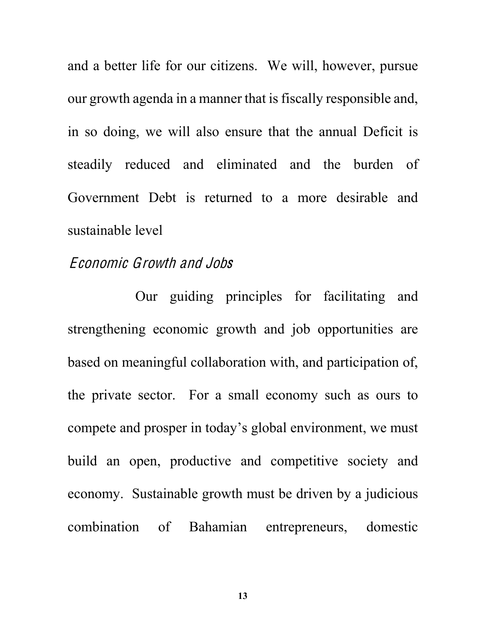and a better life for our citizens. We will, however, pursue our growth agenda in a manner that is fiscally responsible and, in so doing, we will also ensure that the annual Deficit is steadily reduced and eliminated and the burden of Government Debt is returned to a more desirable and sustainable level

#### Economic Growth and Jobs

Our guiding principles for facilitating and strengthening economic growth and job opportunities are based on meaningful collaboration with, and participation of, the private sector. For a small economy such as ours to compete and prosper in today's global environment, we must build an open, productive and competitive society and economy. Sustainable growth must be driven by a judicious combination of Bahamian entrepreneurs, domestic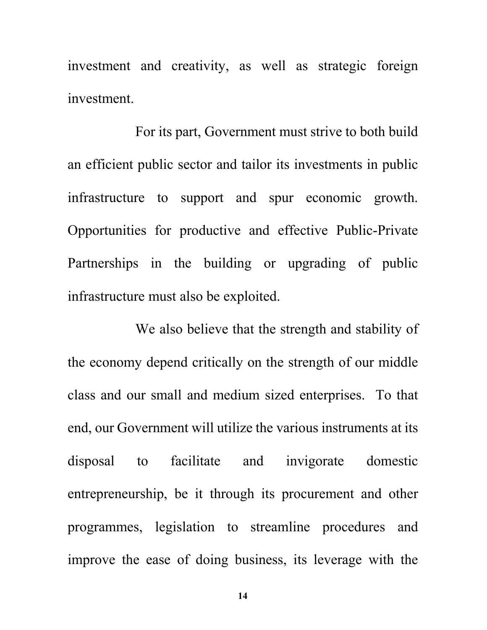investment and creativity, as well as strategic foreign investment.

For its part, Government must strive to both build an efficient public sector and tailor its investments in public infrastructure to support and spur economic growth. Opportunities for productive and effective Public-Private Partnerships in the building or upgrading of public infrastructure must also be exploited.

We also believe that the strength and stability of the economy depend critically on the strength of our middle class and our small and medium sized enterprises. To that end, our Government will utilize the various instruments at its disposal to facilitate and invigorate domestic entrepreneurship, be it through its procurement and other programmes, legislation to streamline procedures and improve the ease of doing business, its leverage with the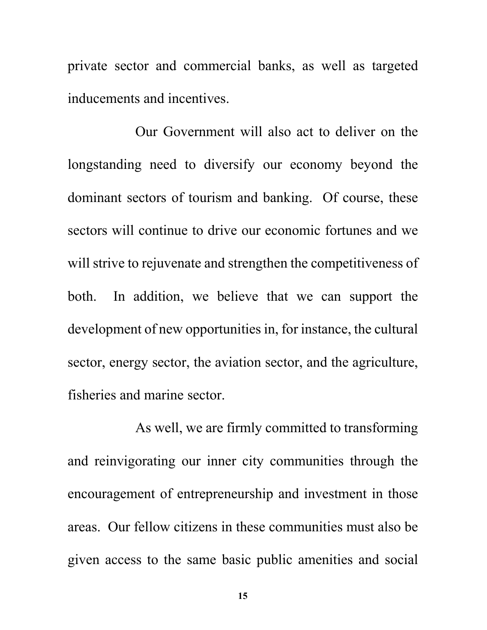private sector and commercial banks, as well as targeted inducements and incentives.

Our Government will also act to deliver on the longstanding need to diversify our economy beyond the dominant sectors of tourism and banking. Of course, these sectors will continue to drive our economic fortunes and we will strive to rejuvenate and strengthen the competitiveness of both. In addition, we believe that we can support the development of new opportunities in, for instance, the cultural sector, energy sector, the aviation sector, and the agriculture, fisheries and marine sector.

As well, we are firmly committed to transforming and reinvigorating our inner city communities through the encouragement of entrepreneurship and investment in those areas. Our fellow citizens in these communities must also be given access to the same basic public amenities and social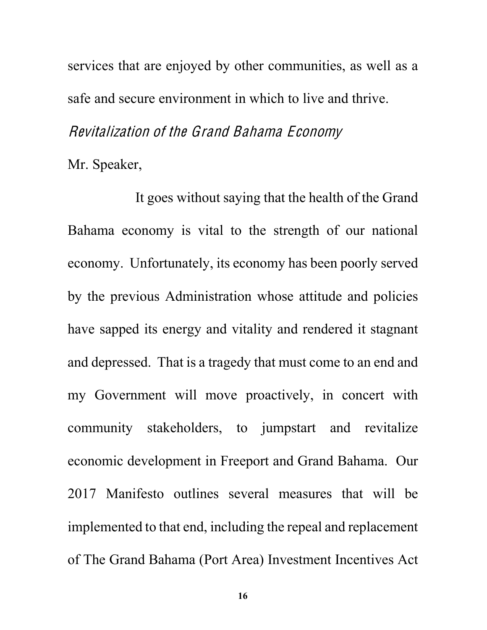services that are enjoyed by other communities, as well as a safe and secure environment in which to live and thrive.

## Revitalization of th<sup>e</sup> Grand Bahama Economy

Mr. Speaker,

It goes without saying that the health of the Grand Bahama economy is vital to the strength of our national economy. Unfortunately, its economy has been poorly served by the previous Administration whose attitude and policies have sapped its energy and vitality and rendered it stagnant and depressed. That is a tragedy that must come to an end and my Government will move proactively, in concert with community stakeholders, to jumpstart and revitalize economic development in Freeport and Grand Bahama. Our 2017 Manifesto outlines several measures that will be implemented to that end, including the repeal and replacement of The Grand Bahama (Port Area) Investment Incentives Act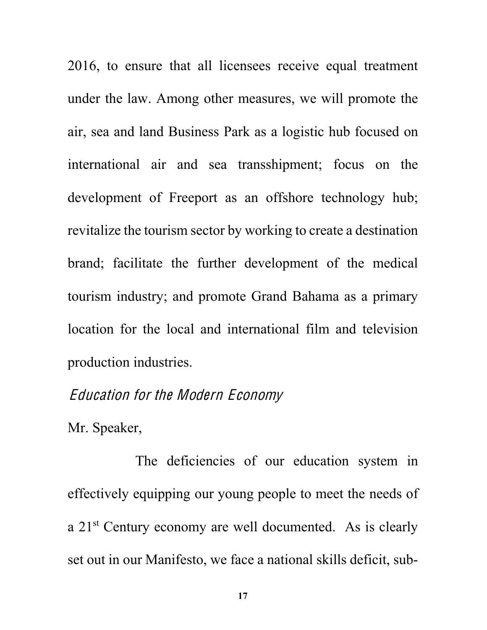2016, to ensure that all licensees receive equal treatment under the law. Among other measures, we will promote the air, sea and land Business Park as a logistic hub focused on international air and sea transshipment; focus on the development of Freeport as an offshore technology hub; revitalize the tourism sector by working to create a destination brand; facilitate the further development of the medical tourism industry; and promote Grand Bahama as a primary location for the local and international film and television production industries.

#### Education for th<sup>e</sup> Modern Economy

Mr. Speaker,

The deficiencies of our education system in effectively equipping our young people to meet the needs of a 21st Century economy are well documented. As is clearly set out in our Manifesto, we face a national skills deficit, sub-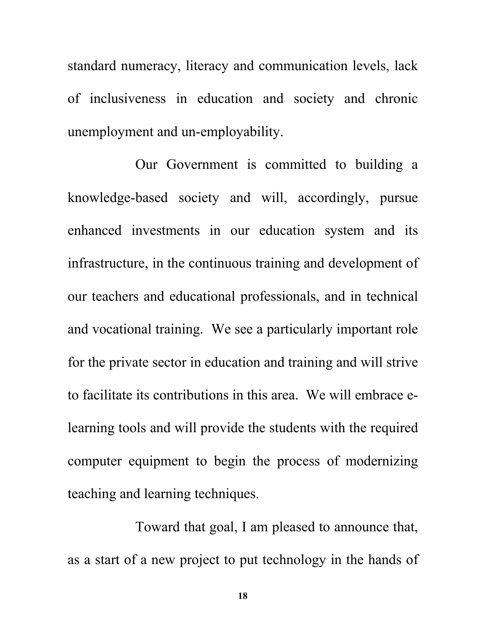standard numeracy, literacy and communication levels, lack of inclusiveness in education and society and chronic unemployment and un-employability.

Our Government is committed to building a knowledge-based society and will, accordingly, pursue enhanced investments in our education system and its infrastructure, in the continuous training and development of our teachers and educational professionals, and in technical and vocational training. We see a particularly important role for the private sector in education and training and will strive to facilitate its contributions in this area. We will embrace elearning tools and will provide the students with the required computer equipment to begin the process of modernizing teaching and learning techniques.

Toward that goal, I am pleased to announce that, as a start of a new project to put technology in the hands of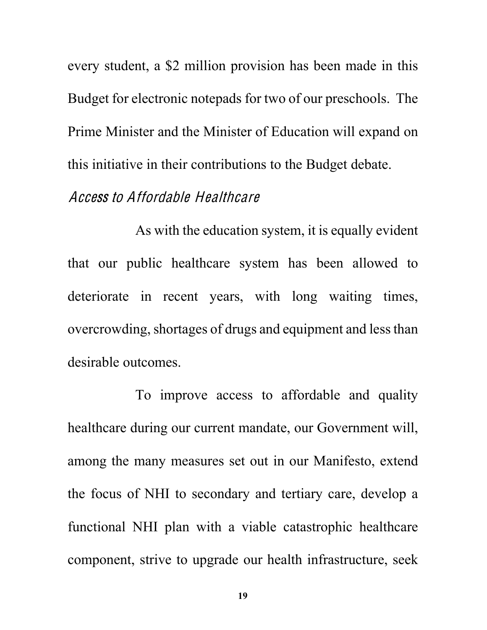every student, a \$2 million provision has been made in this Budget for electronic notepads for two of our preschools. The Prime Minister and the Minister of Education will expand on this initiative in their contributions to the Budget debate.

#### Access to Affordable Healthcare

As with the education system, it is equally evident that our public healthcare system has been allowed to deteriorate in recent years, with long waiting times, overcrowding, shortages of drugs and equipment and less than desirable outcomes.

To improve access to affordable and quality healthcare during our current mandate, our Government will, among the many measures set out in our Manifesto, extend the focus of NHI to secondary and tertiary care, develop a functional NHI plan with a viable catastrophic healthcare component, strive to upgrade our health infrastructure, seek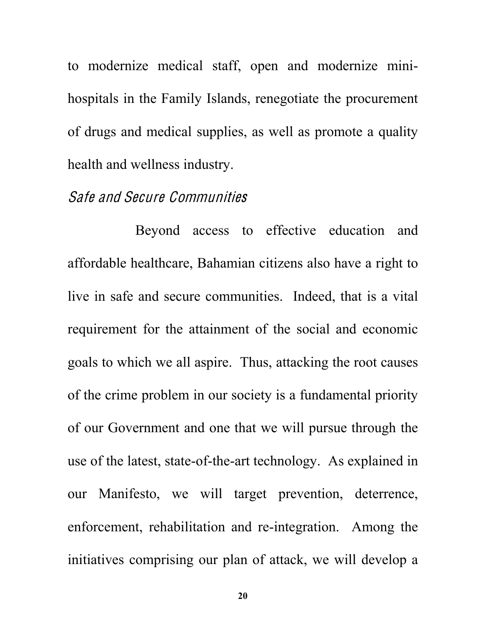to modernize medical staff, open and modernize minihospitals in the Family Islands, renegotiate the procurement of drugs and medical supplies, as well as promote a quality health and wellness industry.

#### Safe and Secure Communities

Beyond access to effective education and affordable healthcare, Bahamian citizens also have a right to live in safe and secure communities. Indeed, that is a vital requirement for the attainment of the social and economic goals to which we all aspire. Thus, attacking the root causes of the crime problem in our society is a fundamental priority of our Government and one that we will pursue through the use of the latest, state-of-the-art technology. As explained in our Manifesto, we will target prevention, deterrence, enforcement, rehabilitation and re-integration. Among the initiatives comprising our plan of attack, we will develop a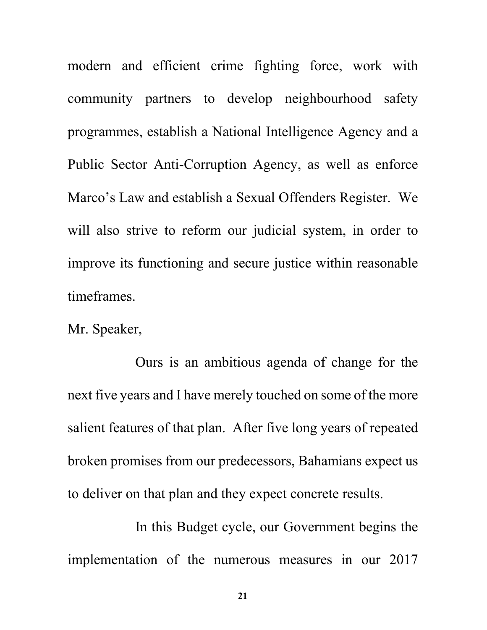modern and efficient crime fighting force, work with community partners to develop neighbourhood safety programmes, establish a National Intelligence Agency and a Public Sector Anti-Corruption Agency, as well as enforce Marco's Law and establish a Sexual Offenders Register. We will also strive to reform our judicial system, in order to improve its functioning and secure justice within reasonable timeframes.

Mr. Speaker,

Ours is an ambitious agenda of change for the next five years and I have merely touched on some of the more salient features of that plan. After five long years of repeated broken promises from our predecessors, Bahamians expect us to deliver on that plan and they expect concrete results.

In this Budget cycle, our Government begins the implementation of the numerous measures in our 2017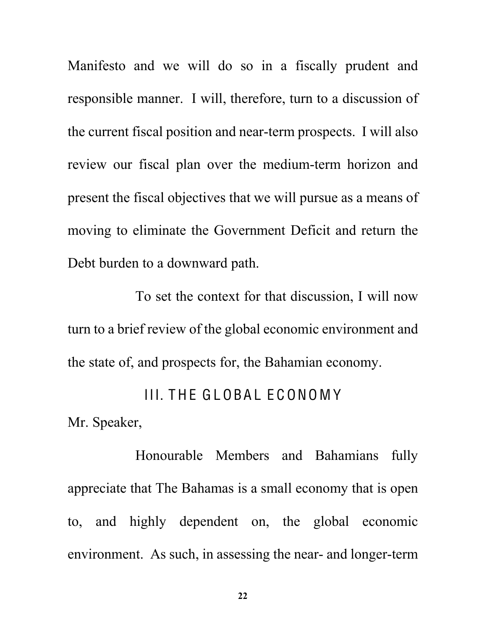Manifesto and we will do so in a fiscally prudent and responsible manner. I will, therefore, turn to a discussion of the current fiscal position and near-term prospects. I will also review our fiscal plan over the medium-term horizon and present the fiscal objectives that we will pursue as a means of moving to eliminate the Government Deficit and return the Debt burden to a downward path.

To set the context for that discussion, I will now turn to a brief review of the global economic environment and the state of, and prospects for, the Bahamian economy.

## III. THE GLOBAL ECONOMY Mr. Speaker,

Honourable Members and Bahamians fully appreciate that The Bahamas is a small economy that is open to, and highly dependent on, the global economic environment. As such, in assessing the near- and longer-term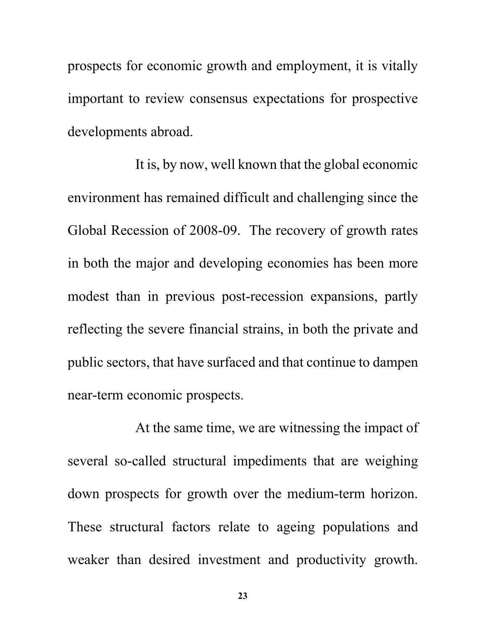prospects for economic growth and employment, it is vitally important to review consensus expectations for prospective developments abroad.

It is, by now, well known that the global economic environment has remained difficult and challenging since the Global Recession of 2008-09. The recovery of growth rates in both the major and developing economies has been more modest than in previous post-recession expansions, partly reflecting the severe financial strains, in both the private and public sectors, that have surfaced and that continue to dampen near-term economic prospects.

At the same time, we are witnessing the impact of several so-called structural impediments that are weighing down prospects for growth over the medium-term horizon. These structural factors relate to ageing populations and weaker than desired investment and productivity growth.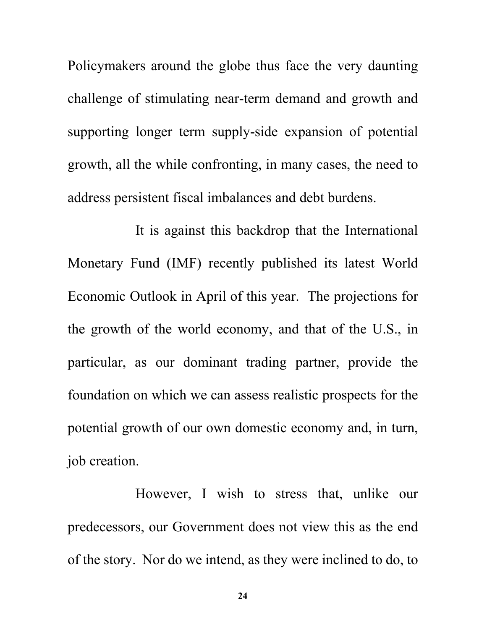Policymakers around the globe thus face the very daunting challenge of stimulating near-term demand and growth and supporting longer term supply-side expansion of potential growth, all the while confronting, in many cases, the need to address persistent fiscal imbalances and debt burdens.

It is against this backdrop that the International Monetary Fund (IMF) recently published its latest World Economic Outlook in April of this year. The projections for the growth of the world economy, and that of the U.S., in particular, as our dominant trading partner, provide the foundation on which we can assess realistic prospects for the potential growth of our own domestic economy and, in turn, job creation.

However, I wish to stress that, unlike our predecessors, our Government does not view this as the end of the story. Nor do we intend, as they were inclined to do, to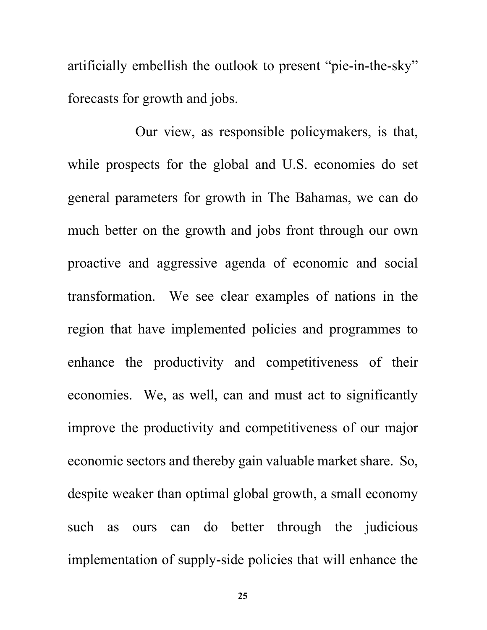artificially embellish the outlook to present "pie-in-the-sky" forecasts for growth and jobs.

Our view, as responsible policymakers, is that, while prospects for the global and U.S. economies do set general parameters for growth in The Bahamas, we can do much better on the growth and jobs front through our own proactive and aggressive agenda of economic and social transformation. We see clear examples of nations in the region that have implemented policies and programmes to enhance the productivity and competitiveness of their economies. We, as well, can and must act to significantly improve the productivity and competitiveness of our major economic sectors and thereby gain valuable market share. So, despite weaker than optimal global growth, a small economy such as ours can do better through the judicious implementation of supply-side policies that will enhance the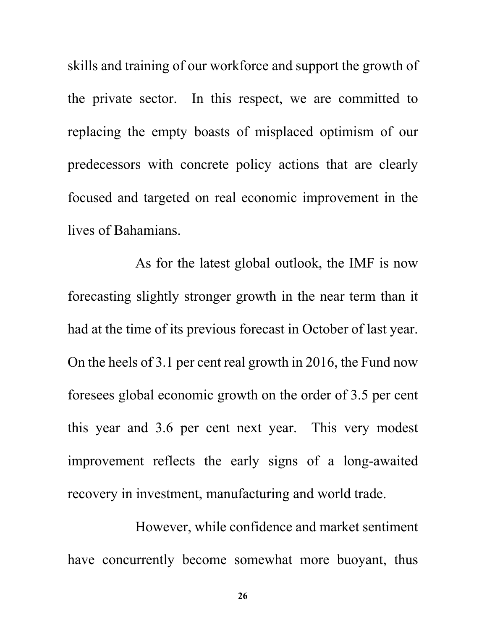skills and training of our workforce and support the growth of the private sector. In this respect, we are committed to replacing the empty boasts of misplaced optimism of our predecessors with concrete policy actions that are clearly focused and targeted on real economic improvement in the lives of Bahamians.

As for the latest global outlook, the IMF is now forecasting slightly stronger growth in the near term than it had at the time of its previous forecast in October of last year. On the heels of 3.1 per cent real growth in 2016, the Fund now foresees global economic growth on the order of 3.5 per cent this year and 3.6 per cent next year. This very modest improvement reflects the early signs of a long-awaited recovery in investment, manufacturing and world trade.

However, while confidence and market sentiment have concurrently become somewhat more buoyant, thus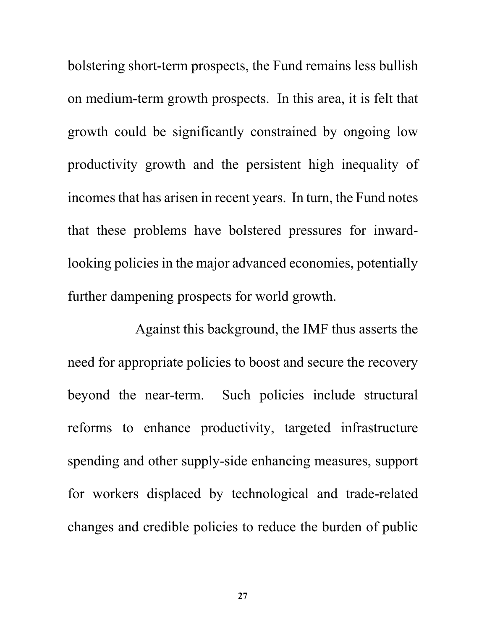bolstering short-term prospects, the Fund remains less bullish on medium-term growth prospects. In this area, it is felt that growth could be significantly constrained by ongoing low productivity growth and the persistent high inequality of incomes that has arisen in recent years. In turn, the Fund notes that these problems have bolstered pressures for inwardlooking policies in the major advanced economies, potentially further dampening prospects for world growth.

Against this background, the IMF thus asserts the need for appropriate policies to boost and secure the recovery beyond the near-term. Such policies include structural reforms to enhance productivity, targeted infrastructure spending and other supply-side enhancing measures, support for workers displaced by technological and trade-related changes and credible policies to reduce the burden of public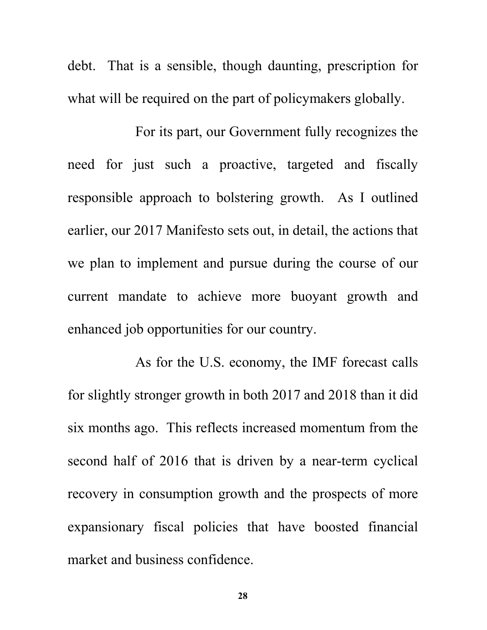debt. That is a sensible, though daunting, prescription for what will be required on the part of policymakers globally.

For its part, our Government fully recognizes the need for just such a proactive, targeted and fiscally responsible approach to bolstering growth. As I outlined earlier, our 2017 Manifesto sets out, in detail, the actions that we plan to implement and pursue during the course of our current mandate to achieve more buoyant growth and enhanced job opportunities for our country.

As for the U.S. economy, the IMF forecast calls for slightly stronger growth in both 2017 and 2018 than it did six months ago. This reflects increased momentum from the second half of 2016 that is driven by a near-term cyclical recovery in consumption growth and the prospects of more expansionary fiscal policies that have boosted financial market and business confidence.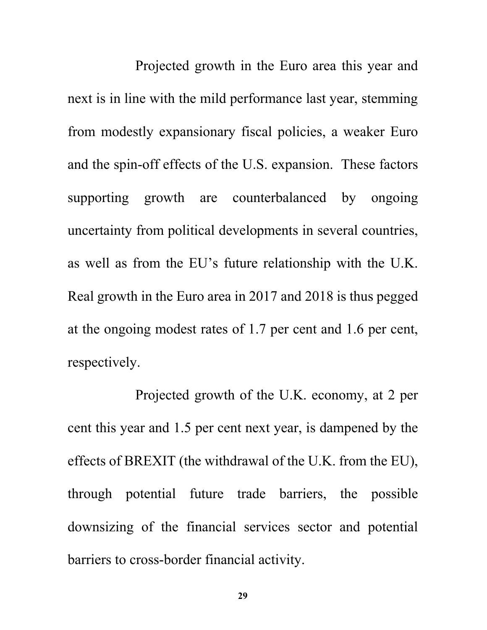Projected growth in the Euro area this year and next is in line with the mild performance last year, stemming from modestly expansionary fiscal policies, a weaker Euro and the spin-off effects of the U.S. expansion. These factors supporting growth are counterbalanced by ongoing uncertainty from political developments in several countries, as well as from the EU's future relationship with the U.K. Real growth in the Euro area in 2017 and 2018 is thus pegged at the ongoing modest rates of 1.7 per cent and 1.6 per cent, respectively.

Projected growth of the U.K. economy, at 2 per cent this year and 1.5 per cent next year, is dampened by the effects of BREXIT (the withdrawal of the U.K. from the EU), through potential future trade barriers, the possible downsizing of the financial services sector and potential barriers to cross-border financial activity.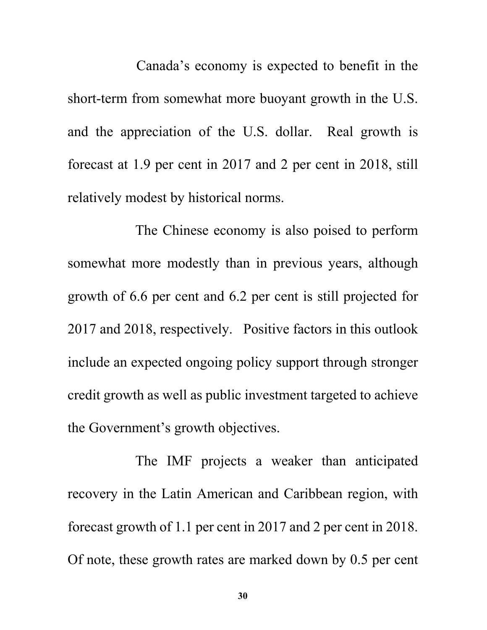Canada's economy is expected to benefit in the short-term from somewhat more buoyant growth in the U.S. and the appreciation of the U.S. dollar. Real growth is forecast at 1.9 per cent in 2017 and 2 per cent in 2018, still relatively modest by historical norms.

The Chinese economy is also poised to perform somewhat more modestly than in previous years, although growth of 6.6 per cent and 6.2 per cent is still projected for 2017 and 2018, respectively. Positive factors in this outlook include an expected ongoing policy support through stronger credit growth as well as public investment targeted to achieve the Government's growth objectives.

The IMF projects a weaker than anticipated recovery in the Latin American and Caribbean region, with forecast growth of 1.1 per cent in 2017 and 2 per cent in 2018. Of note, these growth rates are marked down by 0.5 per cent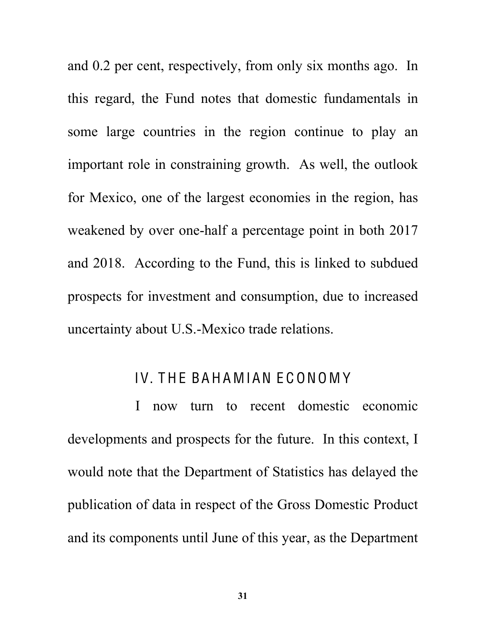and 0.2 per cent, respectively, from only six months ago. In this regard, the Fund notes that domestic fundamentals in some large countries in the region continue to play an important role in constraining growth. As well, the outlook for Mexico, one of the largest economies in the region, has weakened by over one-half a percentage point in both 2017 and 2018. According to the Fund, this is linked to subdued prospects for investment and consumption, due to increased uncertainty about U.S.-Mexico trade relations.

### IV. THE BAHAMIAN ECONOMY

I now turn to recent domestic economic developments and prospects for the future. In this context, I would note that the Department of Statistics has delayed the publication of data in respect of the Gross Domestic Product and its components until June of this year, as the Department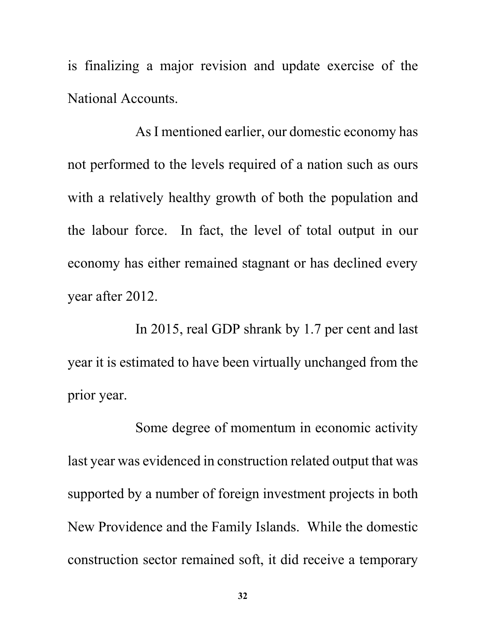is finalizing a major revision and update exercise of the National Accounts.

AsI mentioned earlier, our domestic economy has not performed to the levels required of a nation such as ours with a relatively healthy growth of both the population and the labour force. In fact, the level of total output in our economy has either remained stagnant or has declined every year after 2012.

In 2015, real GDP shrank by 1.7 per cent and last year it is estimated to have been virtually unchanged from the prior year.

Some degree of momentum in economic activity last year was evidenced in construction related output that was supported by a number of foreign investment projects in both New Providence and the Family Islands. While the domestic construction sector remained soft, it did receive a temporary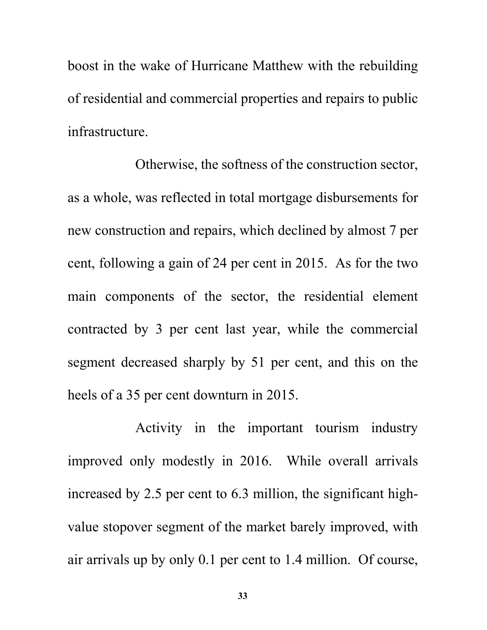boost in the wake of Hurricane Matthew with the rebuilding of residential and commercial properties and repairs to public infrastructure.

Otherwise, the softness of the construction sector, as a whole, was reflected in total mortgage disbursements for new construction and repairs, which declined by almost 7 per cent, following a gain of 24 per cent in 2015. As for the two main components of the sector, the residential element contracted by 3 per cent last year, while the commercial segment decreased sharply by 51 per cent, and this on the heels of a 35 per cent downturn in 2015.

Activity in the important tourism industry improved only modestly in 2016. While overall arrivals increased by 2.5 per cent to 6.3 million, the significant highvalue stopover segment of the market barely improved, with air arrivals up by only 0.1 per cent to 1.4 million. Of course,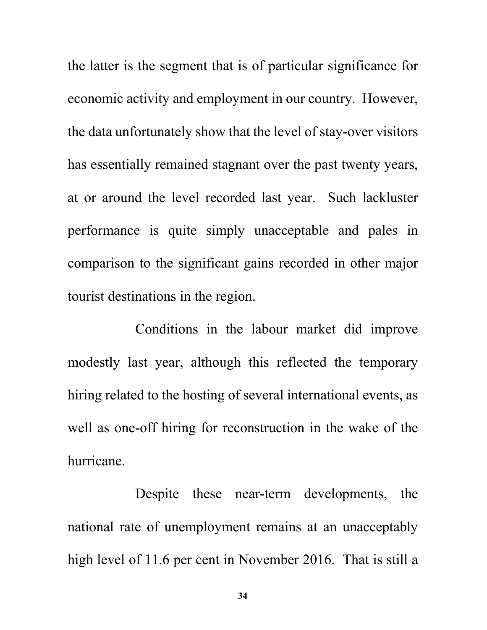the latter is the segment that is of particular significance for economic activity and employment in our country. However, the data unfortunately show that the level of stay-over visitors has essentially remained stagnant over the past twenty years, at or around the level recorded last year. Such lackluster performance is quite simply unacceptable and pales in comparison to the significant gains recorded in other major tourist destinations in the region.

Conditions in the labour market did improve modestly last year, although this reflected the temporary hiring related to the hosting of several international events, as well as one-off hiring for reconstruction in the wake of the hurricane.

Despite these near-term developments, the national rate of unemployment remains at an unacceptably high level of 11.6 per cent in November 2016. That is still a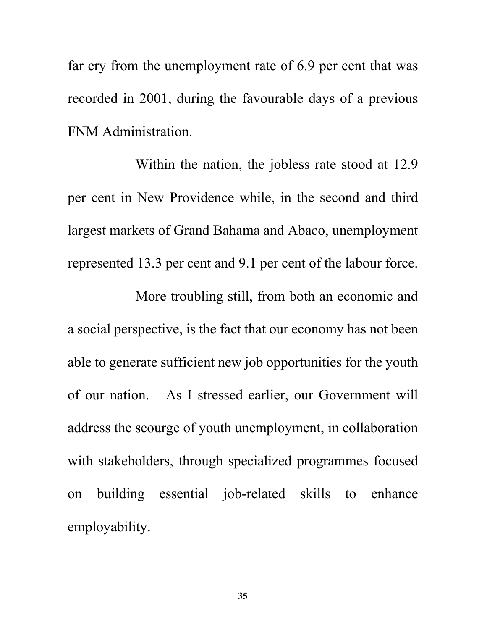far cry from the unemployment rate of 6.9 per cent that was recorded in 2001, during the favourable days of a previous FNM Administration.

Within the nation, the jobless rate stood at 12.9 per cent in New Providence while, in the second and third largest markets of Grand Bahama and Abaco, unemployment represented 13.3 per cent and 9.1 per cent of the labour force.

More troubling still, from both an economic and a social perspective, is the fact that our economy has not been able to generate sufficient new job opportunities for the youth of our nation. As I stressed earlier, our Government will address the scourge of youth unemployment, in collaboration with stakeholders, through specialized programmes focused on building essential job-related skills to enhance employability.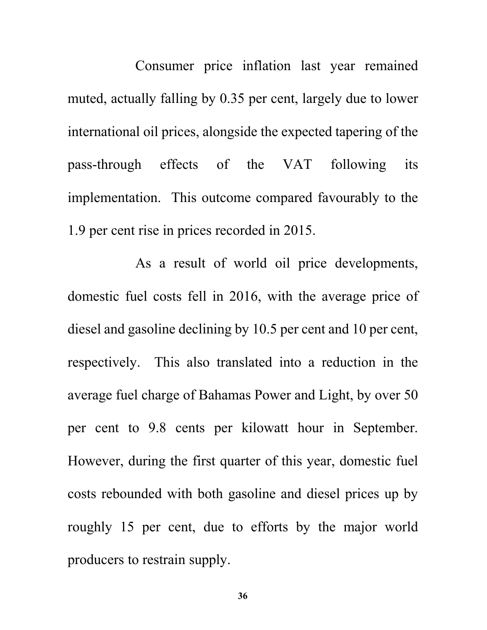Consumer price inflation last year remained muted, actually falling by 0.35 per cent, largely due to lower international oil prices, alongside the expected tapering of the pass-through effects of the VAT following its implementation. This outcome compared favourably to the 1.9 per cent rise in prices recorded in 2015.

As a result of world oil price developments, domestic fuel costs fell in 2016, with the average price of diesel and gasoline declining by 10.5 per cent and 10 per cent, respectively. This also translated into a reduction in the average fuel charge of Bahamas Power and Light, by over 50 per cent to 9.8 cents per kilowatt hour in September. However, during the first quarter of this year, domestic fuel costs rebounded with both gasoline and diesel prices up by roughly 15 per cent, due to efforts by the major world producers to restrain supply.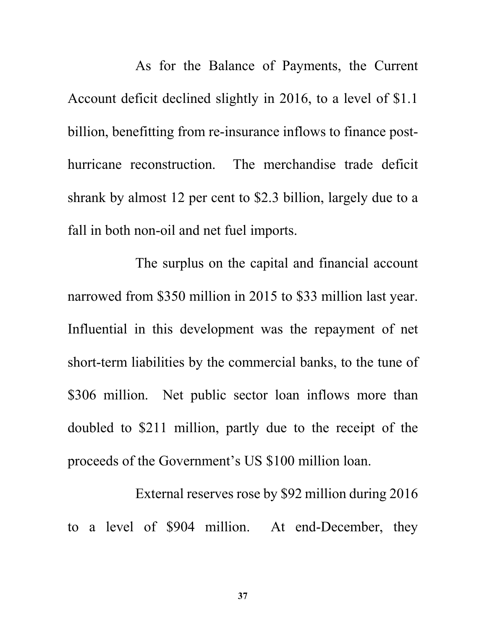As for the Balance of Payments, the Current Account deficit declined slightly in 2016, to a level of \$1.1 billion, benefitting from re-insurance inflows to finance posthurricane reconstruction. The merchandise trade deficit shrank by almost 12 per cent to \$2.3 billion, largely due to a fall in both non-oil and net fuel imports.

The surplus on the capital and financial account narrowed from \$350 million in 2015 to \$33 million last year. Influential in this development was the repayment of net short-term liabilities by the commercial banks, to the tune of \$306 million. Net public sector loan inflows more than doubled to \$211 million, partly due to the receipt of the proceeds of the Government's US \$100 million loan.

External reserves rose by \$92 million during 2016 to a level of \$904 million. At end-December, they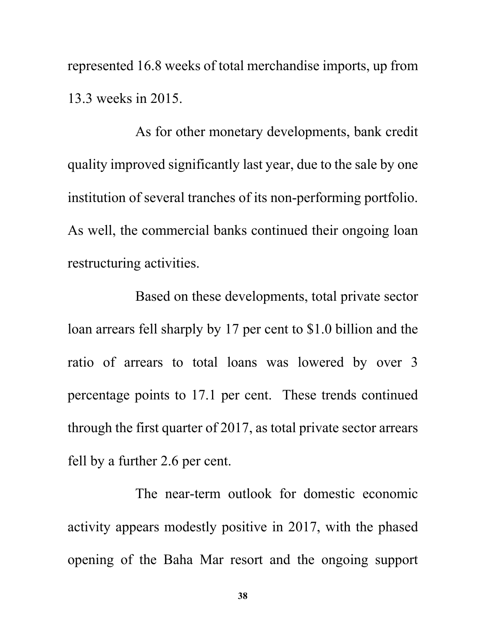represented 16.8 weeks of total merchandise imports, up from 13.3 weeks in 2015.

As for other monetary developments, bank credit quality improved significantly last year, due to the sale by one institution of several tranches of its non-performing portfolio. As well, the commercial banks continued their ongoing loan restructuring activities.

Based on these developments, total private sector loan arrears fell sharply by 17 per cent to \$1.0 billion and the ratio of arrears to total loans was lowered by over 3 percentage points to 17.1 per cent. These trends continued through the first quarter of 2017, as total private sector arrears fell by a further 2.6 per cent.

The near-term outlook for domestic economic activity appears modestly positive in 2017, with the phased opening of the Baha Mar resort and the ongoing support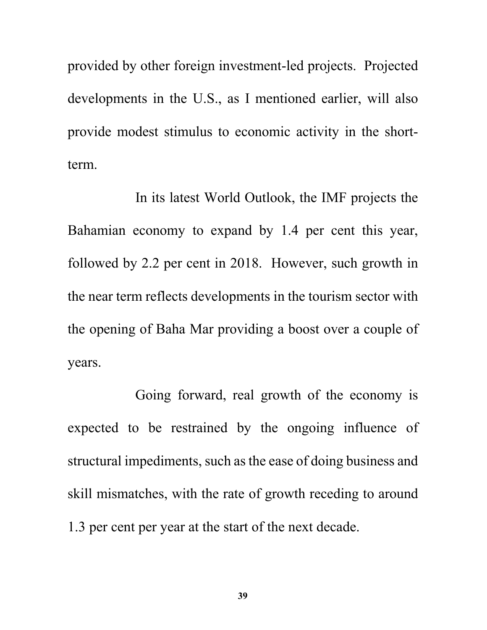provided by other foreign investment-led projects. Projected developments in the U.S., as I mentioned earlier, will also provide modest stimulus to economic activity in the shortterm.

In its latest World Outlook, the IMF projects the Bahamian economy to expand by 1.4 per cent this year, followed by 2.2 per cent in 2018. However, such growth in the near term reflects developments in the tourism sector with the opening of Baha Mar providing a boost over a couple of years.

Going forward, real growth of the economy is expected to be restrained by the ongoing influence of structural impediments, such as the ease of doing business and skill mismatches, with the rate of growth receding to around 1.3 per cent per year at the start of the next decade.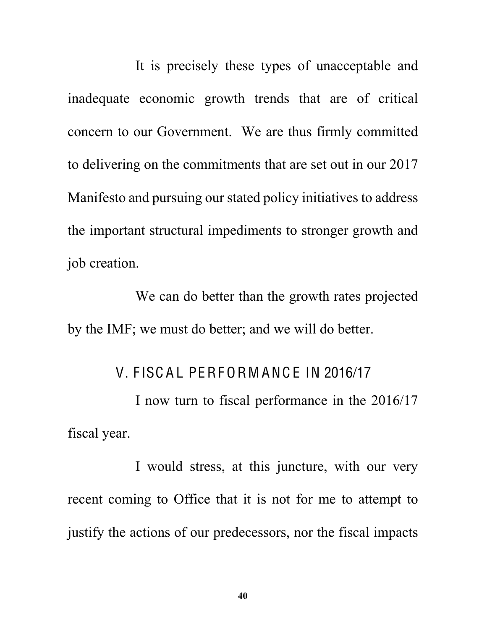It is precisely these types of unacceptable and inadequate economic growth trends that are of critical concern to our Government. We are thus firmly committed to delivering on the commitments that are set out in our 2017 Manifesto and pursuing our stated policy initiatives to address the important structural impediments to stronger growth and job creation.

We can do better than the growth rates projected by the IMF; we must do better; and we will do better.

#### V. FISCAL PERFORMANCE IN 2016/17

I now turn to fiscal performance in the 2016/17 fiscal year.

I would stress, at this juncture, with our very recent coming to Office that it is not for me to attempt to justify the actions of our predecessors, nor the fiscal impacts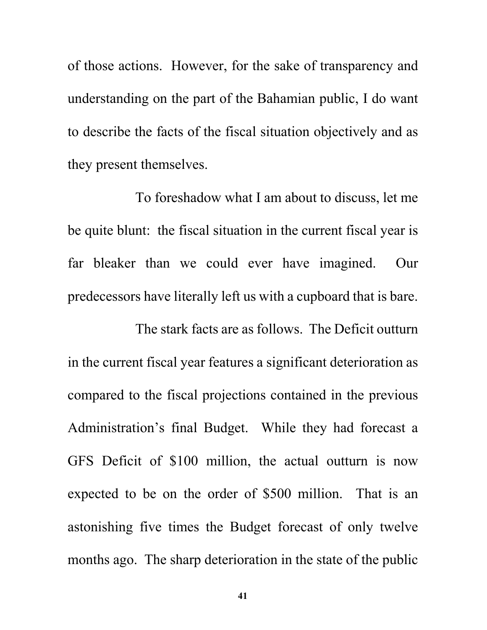of those actions. However, for the sake of transparency and understanding on the part of the Bahamian public, I do want to describe the facts of the fiscal situation objectively and as they present themselves.

To foreshadow what I am about to discuss, let me be quite blunt: the fiscal situation in the current fiscal year is far bleaker than we could ever have imagined. Our predecessors have literally left us with a cupboard that is bare.

The stark facts are as follows. The Deficit outturn in the current fiscal year features a significant deterioration as compared to the fiscal projections contained in the previous Administration's final Budget. While they had forecast a GFS Deficit of \$100 million, the actual outturn is now expected to be on the order of \$500 million. That is an astonishing five times the Budget forecast of only twelve months ago. The sharp deterioration in the state of the public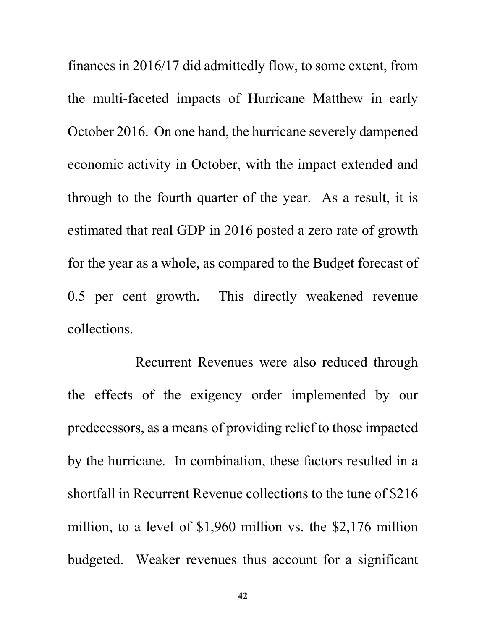finances in 2016/17 did admittedly flow, to some extent, from the multi-faceted impacts of Hurricane Matthew in early October 2016. On one hand, the hurricane severely dampened economic activity in October, with the impact extended and through to the fourth quarter of the year. As a result, it is estimated that real GDP in 2016 posted a zero rate of growth for the year as a whole, as compared to the Budget forecast of 0.5 per cent growth. This directly weakened revenue collections.

Recurrent Revenues were also reduced through the effects of the exigency order implemented by our predecessors, as a means of providing relief to those impacted by the hurricane. In combination, these factors resulted in a shortfall in Recurrent Revenue collections to the tune of \$216 million, to a level of \$1,960 million vs. the \$2,176 million budgeted. Weaker revenues thus account for a significant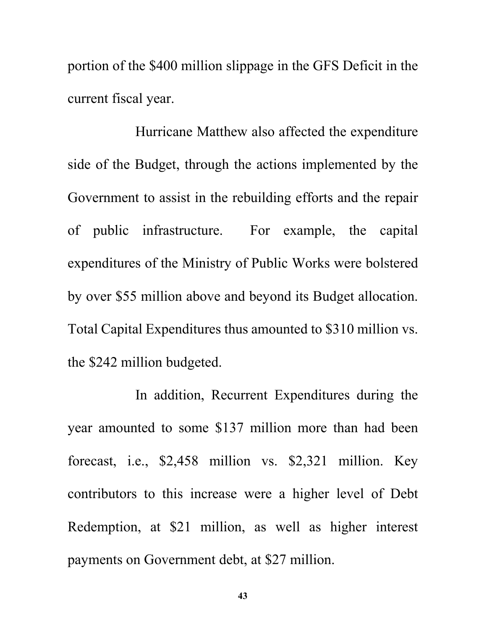portion of the \$400 million slippage in the GFS Deficit in the current fiscal year.

Hurricane Matthew also affected the expenditure side of the Budget, through the actions implemented by the Government to assist in the rebuilding efforts and the repair of public infrastructure. For example, the capital expenditures of the Ministry of Public Works were bolstered by over \$55 million above and beyond its Budget allocation. Total Capital Expenditures thus amounted to \$310 million vs. the \$242 million budgeted.

In addition, Recurrent Expenditures during the year amounted to some \$137 million more than had been forecast, i.e., \$2,458 million vs. \$2,321 million. Key contributors to this increase were a higher level of Debt Redemption, at \$21 million, as well as higher interest payments on Government debt, at \$27 million.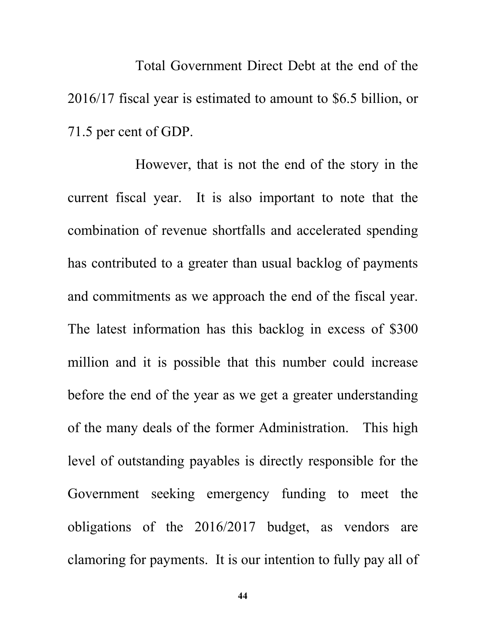Total Government Direct Debt at the end of the 2016/17 fiscal year is estimated to amount to \$6.5 billion, or 71.5 per cent of GDP.

However, that is not the end of the story in the current fiscal year. It is also important to note that the combination of revenue shortfalls and accelerated spending has contributed to a greater than usual backlog of payments and commitments as we approach the end of the fiscal year. The latest information has this backlog in excess of \$300 million and it is possible that this number could increase before the end of the year as we get a greater understanding of the many deals of the former Administration. This high level of outstanding payables is directly responsible for the Government seeking emergency funding to meet the obligations of the 2016/2017 budget, as vendors are clamoring for payments. It is our intention to fully pay all of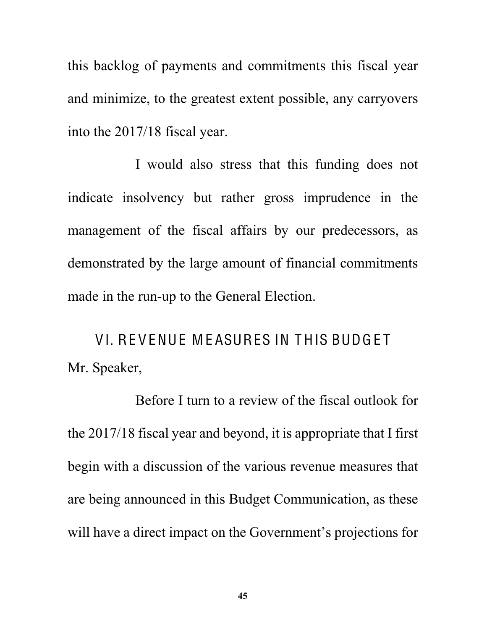this backlog of payments and commitments this fiscal year and minimize, to the greatest extent possible, any carryovers into the 2017/18 fiscal year.

I would also stress that this funding does not indicate insolvency but rather gross imprudence in the management of the fiscal affairs by our predecessors, as demonstrated by the large amount of financial commitments made in the run-up to the General Election.

VI. REVENUE MEASURES IN THIS BUDGET Mr. Speaker,

Before I turn to a review of the fiscal outlook for the 2017/18 fiscal year and beyond, it is appropriate that I first begin with a discussion of the various revenue measures that are being announced in this Budget Communication, as these will have a direct impact on the Government's projections for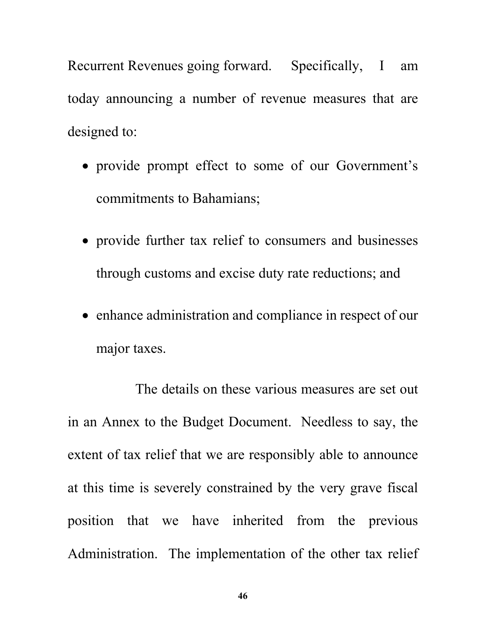Recurrent Revenues going forward. Specifically, I am today announcing a number of revenue measures that are designed to:

- provide prompt effect to some of our Government's commitments to Bahamians;
- provide further tax relief to consumers and businesses through customs and excise duty rate reductions; and
- enhance administration and compliance in respect of our major taxes.

The details on these various measures are set out in an Annex to the Budget Document. Needless to say, the extent of tax relief that we are responsibly able to announce at this time is severely constrained by the very grave fiscal position that we have inherited from the previous Administration. The implementation of the other tax relief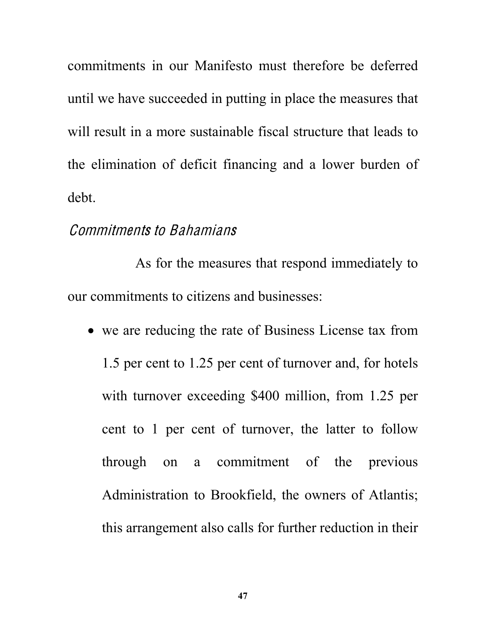commitments in our Manifesto must therefore be deferred until we have succeeded in putting in place the measures that will result in a more sustainable fiscal structure that leads to the elimination of deficit financing and a lower burden of debt.

#### Commitments to Bahamians

As for the measures that respond immediately to our commitments to citizens and businesses:

• we are reducing the rate of Business License tax from 1.5 per cent to 1.25 per cent of turnover and, for hotels with turnover exceeding \$400 million, from 1.25 per cent to 1 per cent of turnover, the latter to follow through on a commitment of the previous Administration to Brookfield, the owners of Atlantis; this arrangement also calls for further reduction in their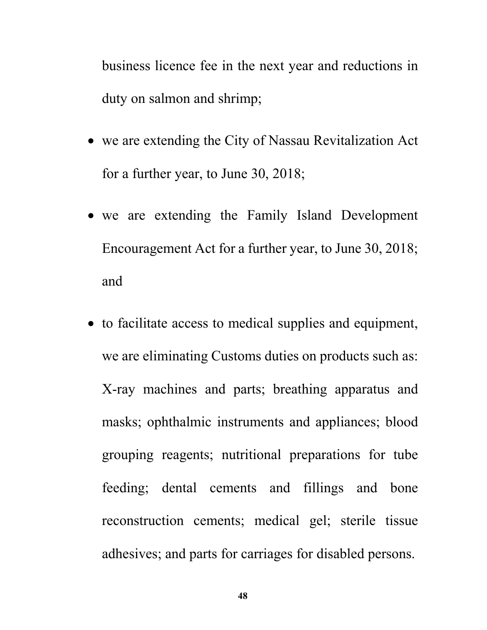business licence fee in the next year and reductions in duty on salmon and shrimp;

- we are extending the City of Nassau Revitalization Act for a further year, to June 30, 2018;
- we are extending the Family Island Development Encouragement Act for a further year, to June 30, 2018; and
- to facilitate access to medical supplies and equipment, we are eliminating Customs duties on products such as: X-ray machines and parts; breathing apparatus and masks; ophthalmic instruments and appliances; blood grouping reagents; nutritional preparations for tube feeding; dental cements and fillings and bone reconstruction cements; medical gel; sterile tissue adhesives; and parts for carriages for disabled persons.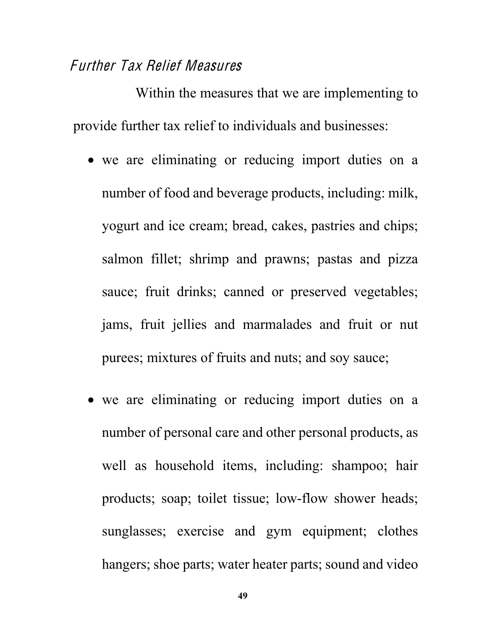### F urther Tax Relief Measures

Within the measures that we are implementing to provide further tax relief to individuals and businesses:

- we are eliminating or reducing import duties on a number of food and beverage products, including: milk, yogurt and ice cream; bread, cakes, pastries and chips; salmon fillet; shrimp and prawns; pastas and pizza sauce; fruit drinks; canned or preserved vegetables; jams, fruit jellies and marmalades and fruit or nut purees; mixtures of fruits and nuts; and soy sauce;
- we are eliminating or reducing import duties on a number of personal care and other personal products, as well as household items, including: shampoo; hair products; soap; toilet tissue; low-flow shower heads; sunglasses; exercise and gym equipment; clothes hangers; shoe parts; water heater parts; sound and video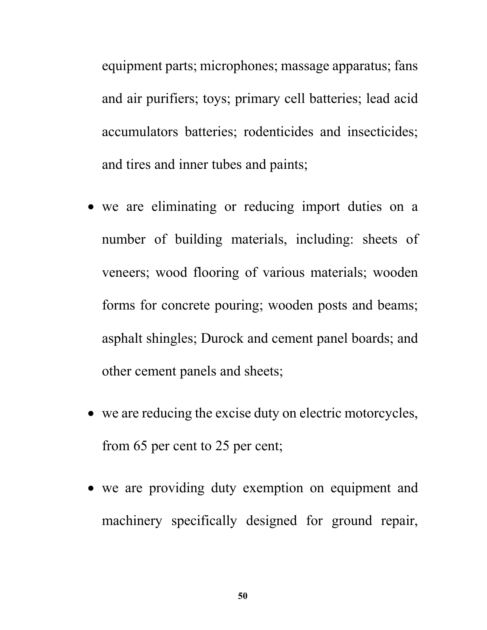equipment parts; microphones; massage apparatus; fans and air purifiers; toys; primary cell batteries; lead acid accumulators batteries; rodenticides and insecticides; and tires and inner tubes and paints;

- we are eliminating or reducing import duties on a number of building materials, including: sheets of veneers; wood flooring of various materials; wooden forms for concrete pouring; wooden posts and beams; asphalt shingles; Durock and cement panel boards; and other cement panels and sheets;
- we are reducing the excise duty on electric motorcycles, from 65 per cent to 25 per cent;
- we are providing duty exemption on equipment and machinery specifically designed for ground repair,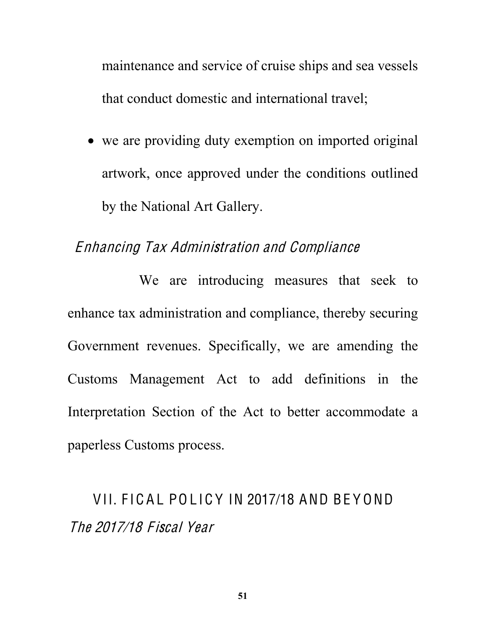maintenance and service of cruise ships and sea vessels that conduct domestic and international travel;

• we are providing duty exemption on imported original artwork, once approved under the conditions outlined by the National Art Gallery.

## Enhancing Tax Administration and Compliance

We are introducing measures that seek to enhance tax administration and compliance, thereby securing Government revenues. Specifically, we are amending the Customs Management Act to add definitions in the Interpretation Section of the Act to better accommodate a paperless Customs process.

## VII. FICAL POLICY IN 2017/18 AND BEYOND The 2017/18 F iscal Year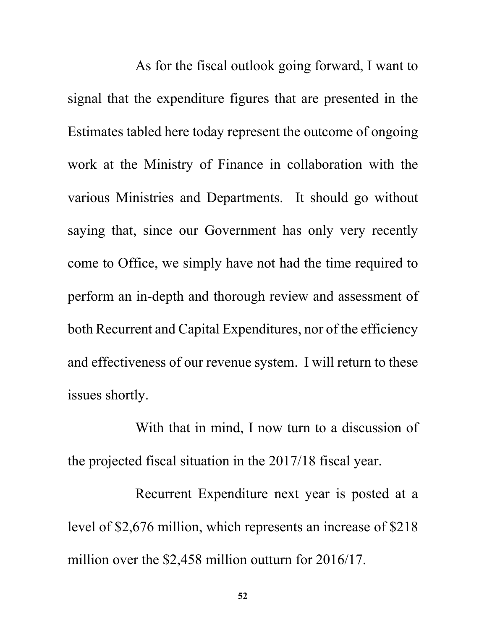As for the fiscal outlook going forward, I want to signal that the expenditure figures that are presented in the Estimates tabled here today represent the outcome of ongoing work at the Ministry of Finance in collaboration with the various Ministries and Departments. It should go without saying that, since our Government has only very recently come to Office, we simply have not had the time required to perform an in-depth and thorough review and assessment of both Recurrent and Capital Expenditures, nor of the efficiency and effectiveness of our revenue system. I will return to these issues shortly.

With that in mind, I now turn to a discussion of the projected fiscal situation in the 2017/18 fiscal year.

Recurrent Expenditure next year is posted at a level of \$2,676 million, which represents an increase of \$218 million over the \$2,458 million outturn for 2016/17.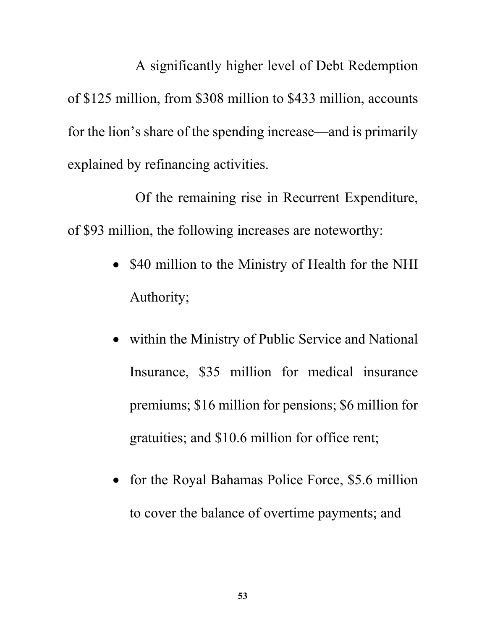A significantly higher level of Debt Redemption of \$125 million, from \$308 million to \$433 million, accounts for the lion's share of the spending increase—and is primarily explained by refinancing activities.

Of the remaining rise in Recurrent Expenditure, of \$93 million, the following increases are noteworthy:

- \$40 million to the Ministry of Health for the NHI Authority;
- within the Ministry of Public Service and National Insurance, \$35 million for medical insurance premiums; \$16 million for pensions; \$6 million for gratuities; and \$10.6 million for office rent;
- for the Royal Bahamas Police Force, \$5.6 million to cover the balance of overtime payments; and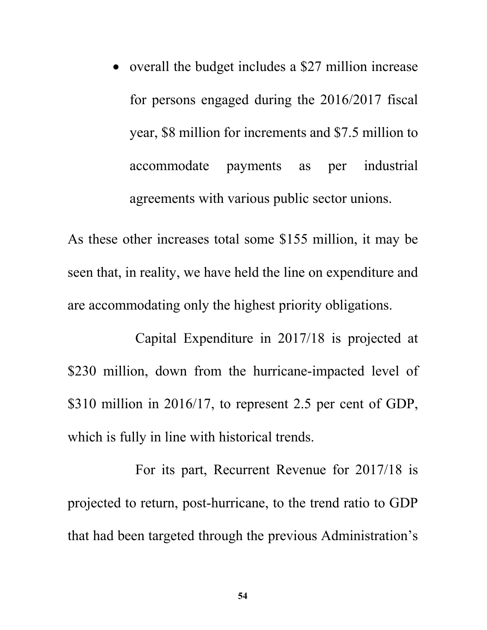• overall the budget includes a \$27 million increase for persons engaged during the 2016/2017 fiscal year, \$8 million for increments and \$7.5 million to accommodate payments as per industrial agreements with various public sector unions.

As these other increases total some \$155 million, it may be seen that, in reality, we have held the line on expenditure and are accommodating only the highest priority obligations.

Capital Expenditure in 2017/18 is projected at \$230 million, down from the hurricane-impacted level of \$310 million in 2016/17, to represent 2.5 per cent of GDP, which is fully in line with historical trends.

For its part, Recurrent Revenue for 2017/18 is projected to return, post-hurricane, to the trend ratio to GDP that had been targeted through the previous Administration's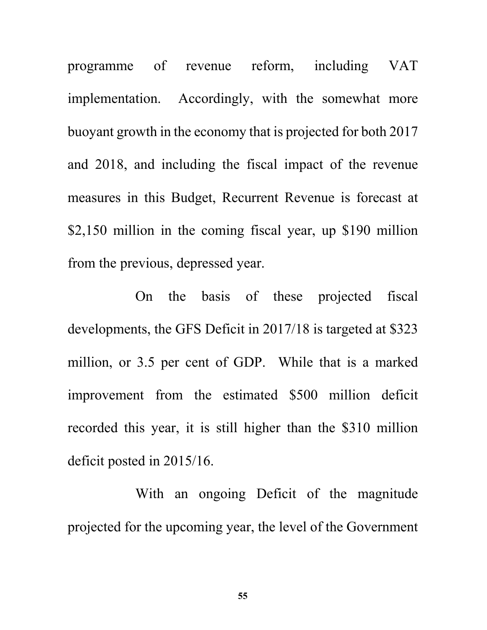programme of revenue reform, including VAT implementation. Accordingly, with the somewhat more buoyant growth in the economy that is projected for both 2017 and 2018, and including the fiscal impact of the revenue measures in this Budget, Recurrent Revenue is forecast at \$2,150 million in the coming fiscal year, up \$190 million from the previous, depressed year.

On the basis of these projected fiscal developments, the GFS Deficit in 2017/18 is targeted at \$323 million, or 3.5 per cent of GDP. While that is a marked improvement from the estimated \$500 million deficit recorded this year, it is still higher than the \$310 million deficit posted in 2015/16.

With an ongoing Deficit of the magnitude projected for the upcoming year, the level of the Government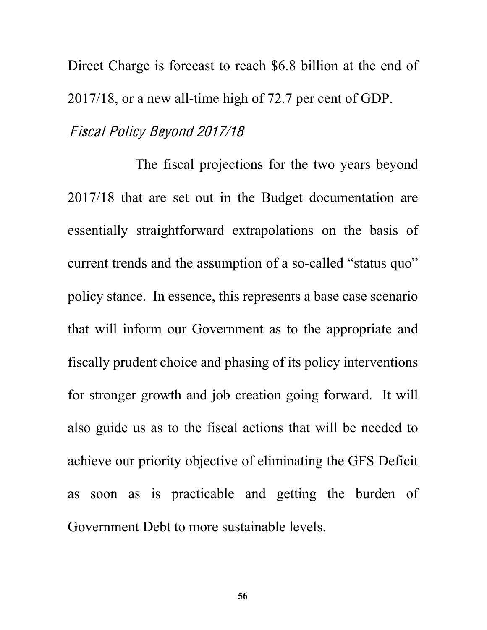Direct Charge is forecast to reach \$6.8 billion at the end of 2017/18, or a new all-time high of 72.7 per cent of GDP. F iscal Policy Beyond 2017/18

The fiscal projections for the two years beyond 2017/18 that are set out in the Budget documentation are essentially straightforward extrapolations on the basis of current trends and the assumption of a so-called "status quo" policy stance. In essence, this represents a base case scenario that will inform our Government as to the appropriate and fiscally prudent choice and phasing of its policy interventions for stronger growth and job creation going forward. It will also guide us as to the fiscal actions that will be needed to achieve our priority objective of eliminating the GFS Deficit as soon as is practicable and getting the burden of Government Debt to more sustainable levels.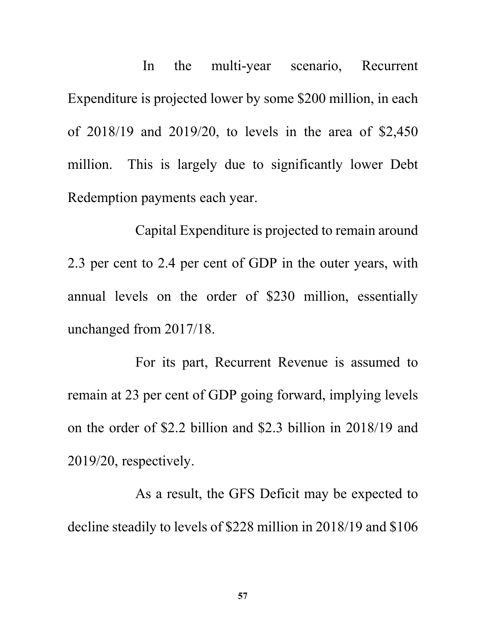In the multi-year scenario, Recurrent Expenditure is projected lower by some \$200 million, in each of 2018/19 and 2019/20, to levels in the area of \$2,450 million. This is largely due to significantly lower Debt Redemption payments each year.

Capital Expenditure is projected to remain around 2.3 per cent to 2.4 per cent of GDP in the outer years, with annual levels on the order of \$230 million, essentially unchanged from 2017/18.

For its part, Recurrent Revenue is assumed to remain at 23 per cent of GDP going forward, implying levels on the order of \$2.2 billion and \$2.3 billion in 2018/19 and 2019/20, respectively.

As a result, the GFS Deficit may be expected to decline steadily to levels of \$228 million in 2018/19 and \$106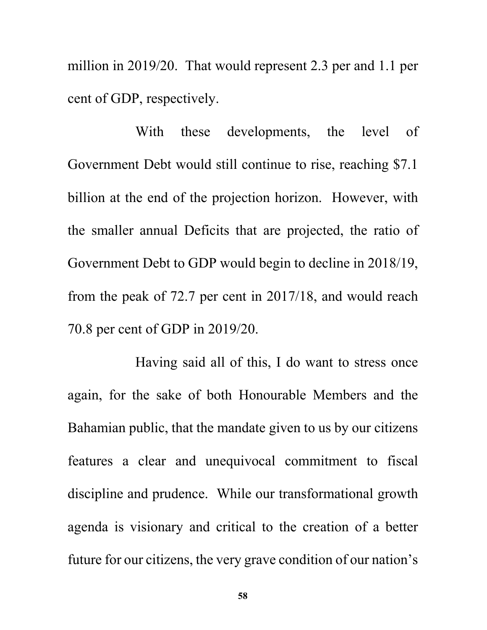million in 2019/20. That would represent 2.3 per and 1.1 per cent of GDP, respectively.

With these developments, the level of Government Debt would still continue to rise, reaching \$7.1 billion at the end of the projection horizon. However, with the smaller annual Deficits that are projected, the ratio of Government Debt to GDP would begin to decline in 2018/19, from the peak of 72.7 per cent in 2017/18, and would reach 70.8 per cent of GDP in 2019/20.

Having said all of this, I do want to stress once again, for the sake of both Honourable Members and the Bahamian public, that the mandate given to us by our citizens features a clear and unequivocal commitment to fiscal discipline and prudence. While our transformational growth agenda is visionary and critical to the creation of a better future for our citizens, the very grave condition of our nation's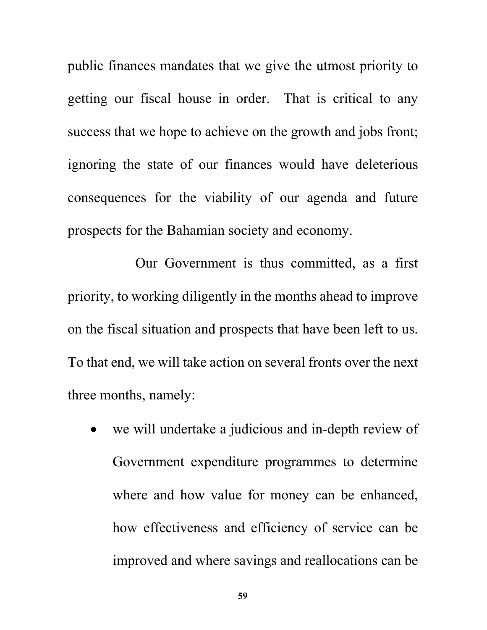public finances mandates that we give the utmost priority to getting our fiscal house in order. That is critical to any success that we hope to achieve on the growth and jobs front; ignoring the state of our finances would have deleterious consequences for the viability of our agenda and future prospects for the Bahamian society and economy.

Our Government is thus committed, as a first priority, to working diligently in the months ahead to improve on the fiscal situation and prospects that have been left to us. To that end, we will take action on several fronts over the next three months, namely:

• we will undertake a judicious and in-depth review of Government expenditure programmes to determine where and how value for money can be enhanced, how effectiveness and efficiency of service can be improved and where savings and reallocations can be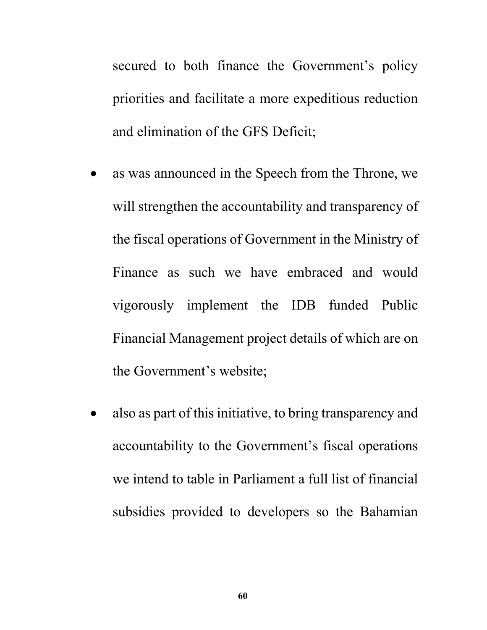secured to both finance the Government's policy priorities and facilitate a more expeditious reduction and elimination of the GFS Deficit;

- as was announced in the Speech from the Throne, we will strengthen the accountability and transparency of the fiscal operations of Government in the Ministry of Finance as such we have embraced and would vigorously implement the IDB funded Public Financial Management project details of which are on the Government's website;
- also as part of this initiative, to bring transparency and accountability to the Government's fiscal operations we intend to table in Parliament a full list of financial subsidies provided to developers so the Bahamian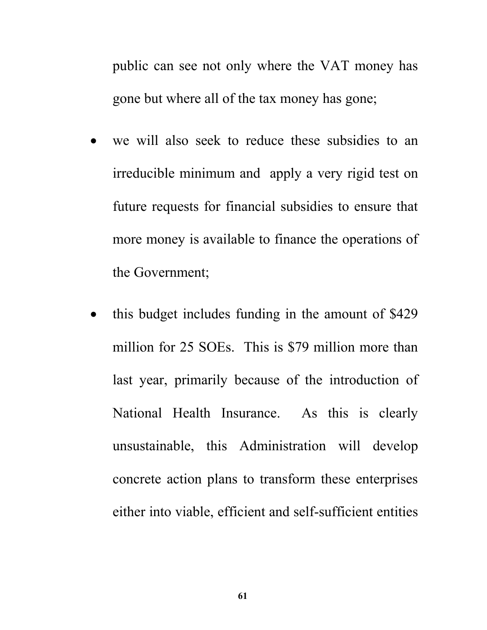public can see not only where the VAT money has gone but where all of the tax money has gone;

- we will also seek to reduce these subsidies to an irreducible minimum and apply a very rigid test on future requests for financial subsidies to ensure that more money is available to finance the operations of the Government;
- this budget includes funding in the amount of \$429 million for 25 SOEs. This is \$79 million more than last year, primarily because of the introduction of National Health Insurance. As this is clearly unsustainable, this Administration will develop concrete action plans to transform these enterprises either into viable, efficient and self-sufficient entities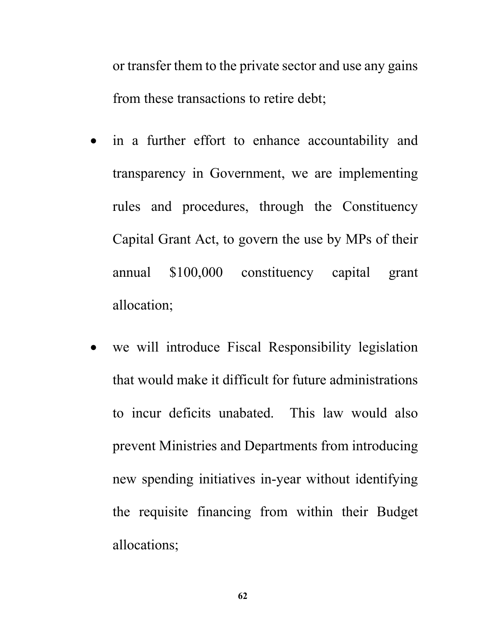or transfer them to the private sector and use any gains from these transactions to retire debt;

- in a further effort to enhance accountability and transparency in Government, we are implementing rules and procedures, through the Constituency Capital Grant Act, to govern the use by MPs of their annual \$100,000 constituency capital grant allocation;
- we will introduce Fiscal Responsibility legislation that would make it difficult for future administrations to incur deficits unabated. This law would also prevent Ministries and Departments from introducing new spending initiatives in-year without identifying the requisite financing from within their Budget allocations;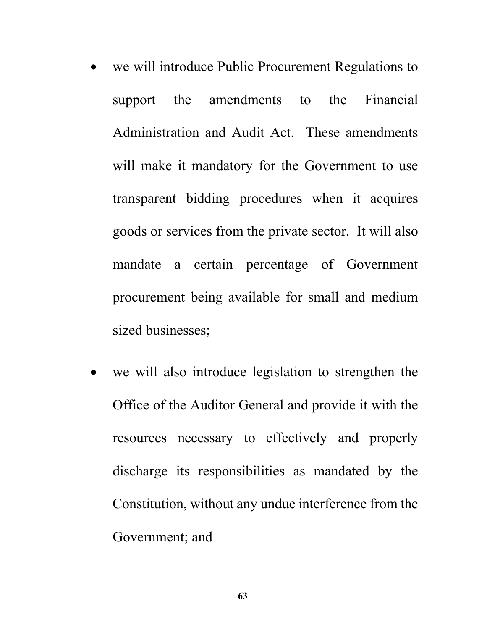- we will introduce Public Procurement Regulations to support the amendments to the Financial Administration and Audit Act. These amendments will make it mandatory for the Government to use transparent bidding procedures when it acquires goods or services from the private sector. It will also mandate a certain percentage of Government procurement being available for small and medium sized businesses;
- we will also introduce legislation to strengthen the Office of the Auditor General and provide it with the resources necessary to effectively and properly discharge its responsibilities as mandated by the Constitution, without any undue interference from the Government; and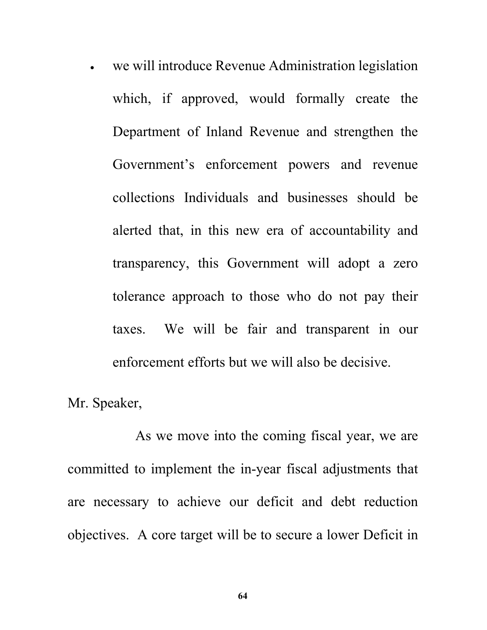we will introduce Revenue Administration legislation which, if approved, would formally create the Department of Inland Revenue and strengthen the Government's enforcement powers and revenue collections Individuals and businesses should be alerted that, in this new era of accountability and transparency, this Government will adopt a zero tolerance approach to those who do not pay their taxes. We will be fair and transparent in our enforcement efforts but we will also be decisive.

Mr. Speaker,

As we move into the coming fiscal year, we are committed to implement the in-year fiscal adjustments that are necessary to achieve our deficit and debt reduction objectives. A core target will be to secure a lower Deficit in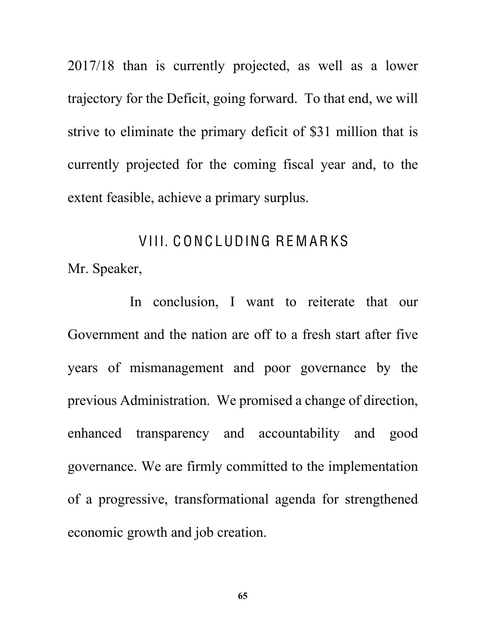2017/18 than is currently projected, as well as a lower trajectory for the Deficit, going forward. To that end, we will strive to eliminate the primary deficit of \$31 million that is currently projected for the coming fiscal year and, to the extent feasible, achieve a primary surplus.

### VIII. CONCLUDING REMARKS

Mr. Speaker,

In conclusion, I want to reiterate that our Government and the nation are off to a fresh start after five years of mismanagement and poor governance by the previous Administration. We promised a change of direction, enhanced transparency and accountability and good governance. We are firmly committed to the implementation of a progressive, transformational agenda for strengthened economic growth and job creation.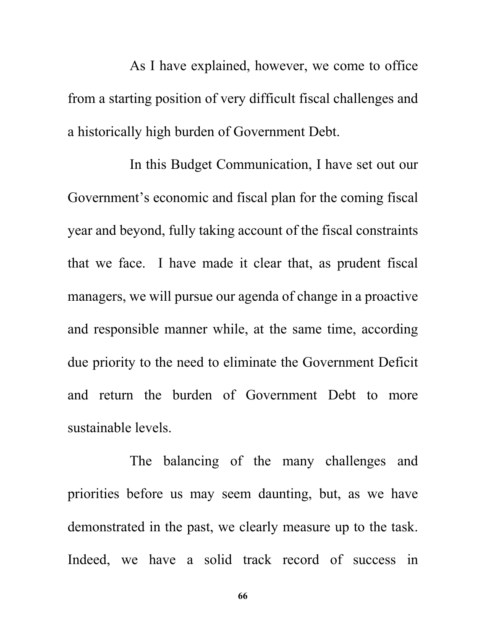As I have explained, however, we come to office from a starting position of very difficult fiscal challenges and a historically high burden of Government Debt.

In this Budget Communication, I have set out our Government's economic and fiscal plan for the coming fiscal year and beyond, fully taking account of the fiscal constraints that we face. I have made it clear that, as prudent fiscal managers, we will pursue our agenda of change in a proactive and responsible manner while, at the same time, according due priority to the need to eliminate the Government Deficit and return the burden of Government Debt to more sustainable levels.

The balancing of the many challenges and priorities before us may seem daunting, but, as we have demonstrated in the past, we clearly measure up to the task. Indeed, we have a solid track record of success in